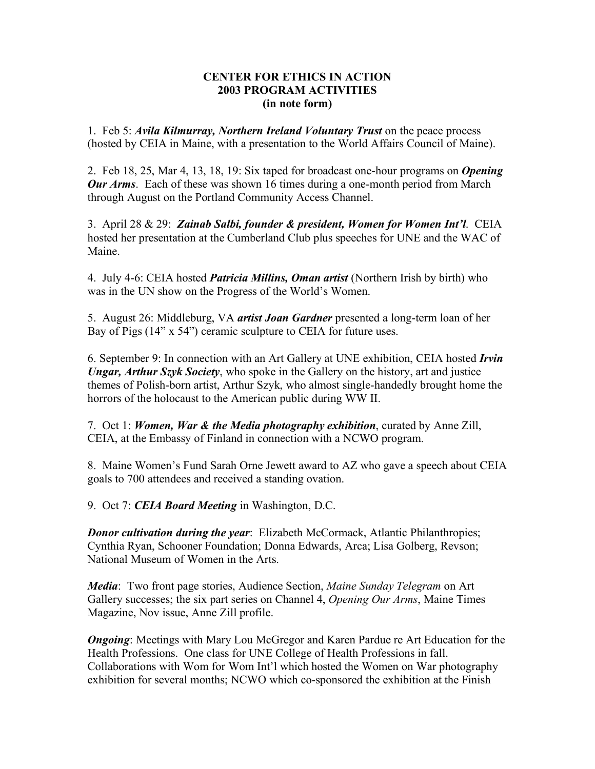## **CENTER FOR ETHICS IN ACTION 2003 PROGRAM ACTIVITIES (in note form)**

1. Feb 5: *Avila Kilmurray, Northern Ireland Voluntary Trust* on the peace process (hosted by CEIA in Maine, with a presentation to the World Affairs Council of Maine).

2. Feb 18, 25, Mar 4, 13, 18, 19: Six taped for broadcast one-hour programs on *Opening Our Arms*. Each of these was shown 16 times during a one-month period from March through August on the Portland Community Access Channel.

3. April 28 & 29: *Zainab Salbi, founder & president, Women for Women Int'l*. CEIA hosted her presentation at the Cumberland Club plus speeches for UNE and the WAC of Maine.

4. July 4-6: CEIA hosted *Patricia Millins, Oman artist* (Northern Irish by birth) who was in the UN show on the Progress of the World's Women.

5. August 26: Middleburg, VA *artist Joan Gardner* presented a long-term loan of her Bay of Pigs (14" x 54") ceramic sculpture to CEIA for future uses.

6. September 9: In connection with an Art Gallery at UNE exhibition, CEIA hosted *Irvin Ungar, Arthur Szyk Society*, who spoke in the Gallery on the history, art and justice themes of Polish-born artist, Arthur Szyk, who almost single-handedly brought home the horrors of the holocaust to the American public during WW II.

7. Oct 1: *Women, War & the Media photography exhibition*, curated by Anne Zill, CEIA, at the Embassy of Finland in connection with a NCWO program.

8. Maine Women's Fund Sarah Orne Jewett award to AZ who gave a speech about CEIA goals to 700 attendees and received a standing ovation.

9. Oct 7: *CEIA Board Meeting* in Washington, D.C.

*Donor cultivation during the year*: Elizabeth McCormack, Atlantic Philanthropies; Cynthia Ryan, Schooner Foundation; Donna Edwards, Arca; Lisa Golberg, Revson; National Museum of Women in the Arts.

*Media*: Two front page stories, Audience Section, *Maine Sunday Telegram* on Art Gallery successes; the six part series on Channel 4, *Opening Our Arms*, Maine Times Magazine, Nov issue, Anne Zill profile.

*Ongoing*: Meetings with Mary Lou McGregor and Karen Pardue re Art Education for the Health Professions. One class for UNE College of Health Professions in fall. Collaborations with Wom for Wom Int'l which hosted the Women on War photography exhibition for several months; NCWO which co-sponsored the exhibition at the Finish